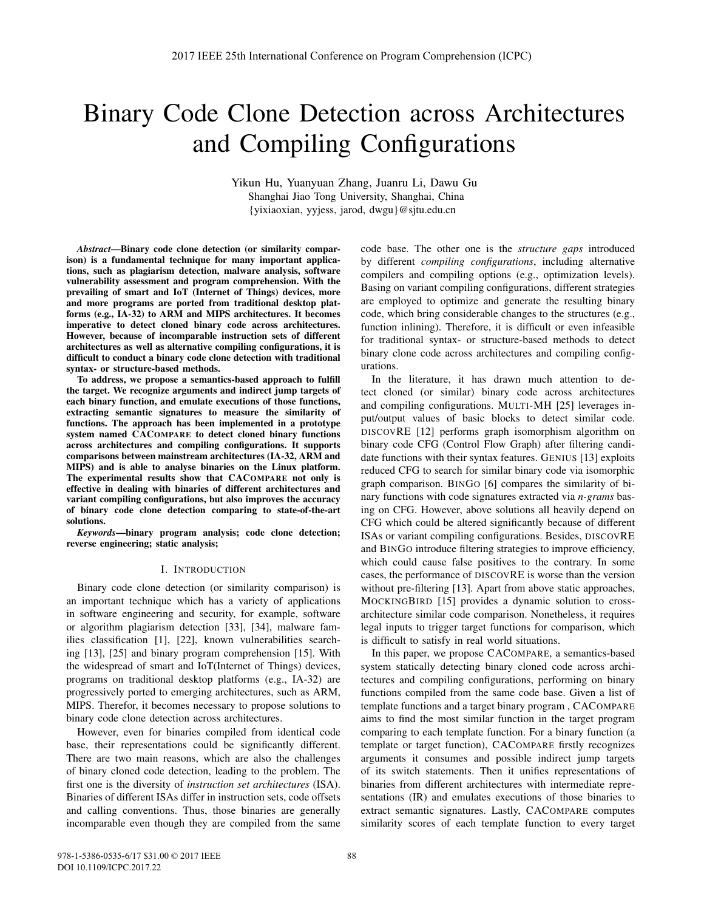# Binary Code Clone Detection across Architectures and Compiling Configurations

Yikun Hu, Yuanyuan Zhang, Juanru Li, Dawu Gu Shanghai Jiao Tong University, Shanghai, China {yixiaoxian, yyjess, jarod, dwgu}@sjtu.edu.cn

*Abstract*—Binary code clone detection (or similarity comparison) is a fundamental technique for many important applications, such as plagiarism detection, malware analysis, software vulnerability assessment and program comprehension. With the prevailing of smart and IoT (Internet of Things) devices, more and more programs are ported from traditional desktop platforms (e.g., IA-32) to ARM and MIPS architectures. It becomes imperative to detect cloned binary code across architectures. However, because of incomparable instruction sets of different architectures as well as alternative compiling configurations, it is difficult to conduct a binary code clone detection with traditional syntax- or structure-based methods.

To address, we propose a semantics-based approach to fulfill the target. We recognize arguments and indirect jump targets of each binary function, and emulate executions of those functions, extracting semantic signatures to measure the similarity of functions. The approach has been implemented in a prototype system named CACOMPARE to detect cloned binary functions across architectures and compiling configurations. It supports comparisons between mainstream architectures (IA-32, ARM and MIPS) and is able to analyse binaries on the Linux platform. The experimental results show that CACOMPARE not only is effective in dealing with binaries of different architectures and variant compiling configurations, but also improves the accuracy of binary code clone detection comparing to state-of-the-art solutions.

*Keywords*—binary program analysis; code clone detection; reverse engineering; static analysis;

## I. INTRODUCTION

Binary code clone detection (or similarity comparison) is an important technique which has a variety of applications in software engineering and security, for example, software or algorithm plagiarism detection [33], [34], malware families classification [1], [22], known vulnerabilities searching [13], [25] and binary program comprehension [15]. With the widespread of smart and IoT(Internet of Things) devices, programs on traditional desktop platforms (e.g., IA-32) are progressively ported to emerging architectures, such as ARM, MIPS. Therefor, it becomes necessary to propose solutions to binary code clone detection across architectures.

However, even for binaries compiled from identical code base, their representations could be significantly different. There are two main reasons, which are also the challenges of binary cloned code detection, leading to the problem. The first one is the diversity of *instruction set architectures* (ISA). Binaries of different ISAs differ in instruction sets, code offsets and calling conventions. Thus, those binaries are generally incomparable even though they are compiled from the same code base. The other one is the *structure gaps* introduced by different *compiling configurations*, including alternative compilers and compiling options (e.g., optimization levels). Basing on variant compiling configurations, different strategies are employed to optimize and generate the resulting binary code, which bring considerable changes to the structures (e.g., function inlining). Therefore, it is difficult or even infeasible for traditional syntax- or structure-based methods to detect binary clone code across architectures and compiling configurations.

In the literature, it has drawn much attention to detect cloned (or similar) binary code across architectures and compiling configurations. MULTI-MH [25] leverages input/output values of basic blocks to detect similar code. DISCOVRE [12] performs graph isomorphism algorithm on binary code CFG (Control Flow Graph) after filtering candidate functions with their syntax features. GENIUS [13] exploits reduced CFG to search for similar binary code via isomorphic graph comparison. BINGO [6] compares the similarity of binary functions with code signatures extracted via *n-grams* basing on CFG. However, above solutions all heavily depend on CFG which could be altered significantly because of different ISAs or variant compiling configurations. Besides, DISCOVRE and BINGO introduce filtering strategies to improve efficiency, which could cause false positives to the contrary. In some cases, the performance of DISCOVRE is worse than the version without pre-filtering [13]. Apart from above static approaches, MOCKINGBIRD [15] provides a dynamic solution to crossarchitecture similar code comparison. Nonetheless, it requires legal inputs to trigger target functions for comparison, which is difficult to satisfy in real world situations.

In this paper, we propose CACOMPARE, a semantics-based system statically detecting binary cloned code across architectures and compiling configurations, performing on binary functions compiled from the same code base. Given a list of template functions and a target binary program , CACOMPARE aims to find the most similar function in the target program comparing to each template function. For a binary function (a template or target function), CACOMPARE firstly recognizes arguments it consumes and possible indirect jump targets of its switch statements. Then it unifies representations of binaries from different architectures with intermediate representations (IR) and emulates executions of those binaries to extract semantic signatures. Lastly, CACOMPARE computes similarity scores of each template function to every target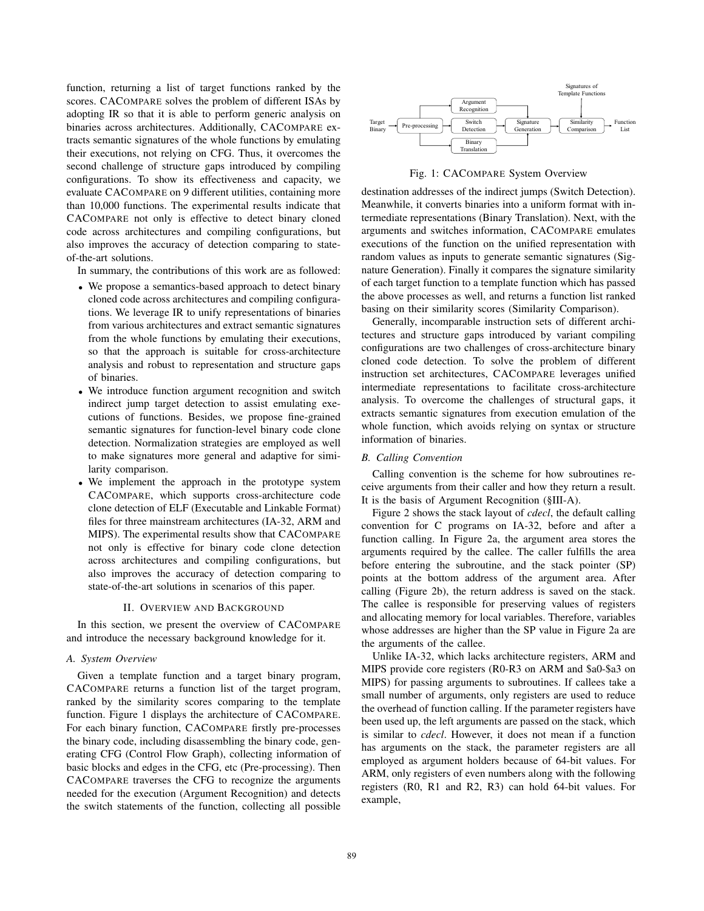function, returning a list of target functions ranked by the scores. CACOMPARE solves the problem of different ISAs by adopting IR so that it is able to perform generic analysis on binaries across architectures. Additionally, CACOMPARE extracts semantic signatures of the whole functions by emulating their executions, not relying on CFG. Thus, it overcomes the second challenge of structure gaps introduced by compiling configurations. To show its effectiveness and capacity, we evaluate CACOMPARE on 9 different utilities, containing more than 10,000 functions. The experimental results indicate that CACOMPARE not only is effective to detect binary cloned code across architectures and compiling configurations, but also improves the accuracy of detection comparing to stateof-the-art solutions.

In summary, the contributions of this work are as followed:

- We propose a semantics-based approach to detect binary cloned code across architectures and compiling configurations. We leverage IR to unify representations of binaries from various architectures and extract semantic signatures from the whole functions by emulating their executions, so that the approach is suitable for cross-architecture analysis and robust to representation and structure gaps of binaries.
- We introduce function argument recognition and switch indirect jump target detection to assist emulating executions of functions. Besides, we propose fine-grained semantic signatures for function-level binary code clone detection. Normalization strategies are employed as well to make signatures more general and adaptive for similarity comparison.
- We implement the approach in the prototype system CACOMPARE, which supports cross-architecture code clone detection of ELF (Executable and Linkable Format) files for three mainstream architectures (IA-32, ARM and MIPS). The experimental results show that CACOMPARE not only is effective for binary code clone detection across architectures and compiling configurations, but also improves the accuracy of detection comparing to state-of-the-art solutions in scenarios of this paper.

#### II. OVERVIEW AND BACKGROUND

In this section, we present the overview of CACOMPARE and introduce the necessary background knowledge for it.

# *A. System Overview*

Given a template function and a target binary program, CACOMPARE returns a function list of the target program, ranked by the similarity scores comparing to the template function. Figure 1 displays the architecture of CACOMPARE. For each binary function, CACOMPARE firstly pre-processes the binary code, including disassembling the binary code, generating CFG (Control Flow Graph), collecting information of basic blocks and edges in the CFG, etc (Pre-processing). Then CACOMPARE traverses the CFG to recognize the arguments needed for the execution (Argument Recognition) and detects the switch statements of the function, collecting all possible



Fig. 1: CACOMPARE System Overview

destination addresses of the indirect jumps (Switch Detection). Meanwhile, it converts binaries into a uniform format with intermediate representations (Binary Translation). Next, with the arguments and switches information, CACOMPARE emulates executions of the function on the unified representation with random values as inputs to generate semantic signatures (Signature Generation). Finally it compares the signature similarity of each target function to a template function which has passed the above processes as well, and returns a function list ranked basing on their similarity scores (Similarity Comparison).

Generally, incomparable instruction sets of different architectures and structure gaps introduced by variant compiling configurations are two challenges of cross-architecture binary cloned code detection. To solve the problem of different instruction set architectures, CACOMPARE leverages unified intermediate representations to facilitate cross-architecture analysis. To overcome the challenges of structural gaps, it extracts semantic signatures from execution emulation of the whole function, which avoids relying on syntax or structure information of binaries.

#### *B. Calling Convention*

Calling convention is the scheme for how subroutines receive arguments from their caller and how they return a result. It is the basis of Argument Recognition (§III-A).

Figure 2 shows the stack layout of *cdecl*, the default calling convention for C programs on IA-32, before and after a function calling. In Figure 2a, the argument area stores the arguments required by the callee. The caller fulfills the area before entering the subroutine, and the stack pointer (SP) points at the bottom address of the argument area. After calling (Figure 2b), the return address is saved on the stack. The callee is responsible for preserving values of registers and allocating memory for local variables. Therefore, variables whose addresses are higher than the SP value in Figure 2a are the arguments of the callee.

Unlike IA-32, which lacks architecture registers, ARM and MIPS provide core registers (R0-R3 on ARM and \$a0-\$a3 on MIPS) for passing arguments to subroutines. If callees take a small number of arguments, only registers are used to reduce the overhead of function calling. If the parameter registers have been used up, the left arguments are passed on the stack, which is similar to *cdecl*. However, it does not mean if a function has arguments on the stack, the parameter registers are all employed as argument holders because of 64-bit values. For ARM, only registers of even numbers along with the following registers (R0, R1 and R2, R3) can hold 64-bit values. For example,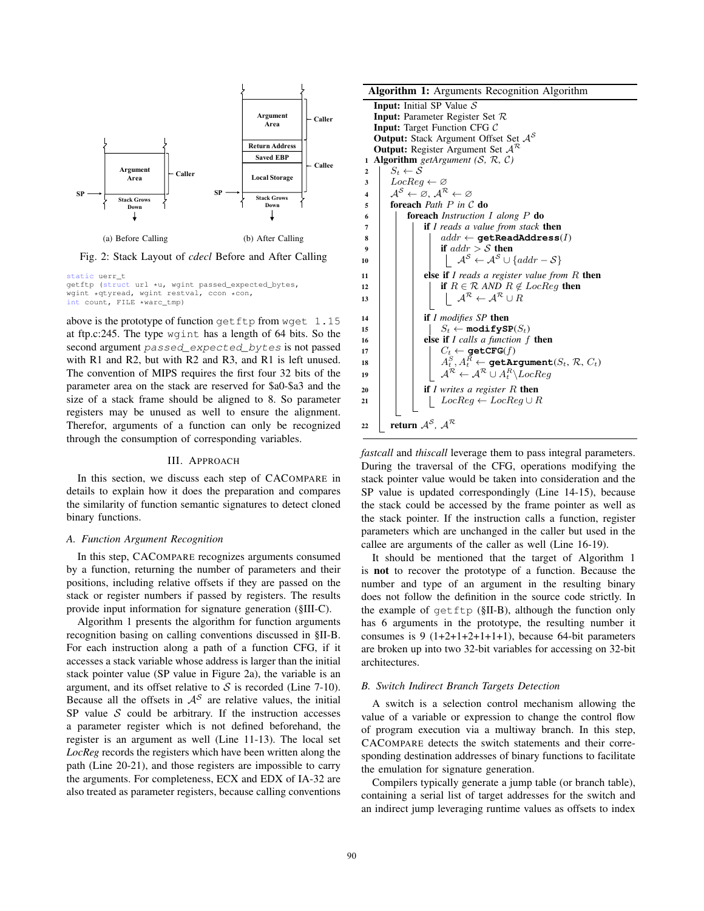

Fig. 2: Stack Layout of *cdecl* Before and After Calling

static uerr\_t getftp (struct url \*u, wgint passed\_expected\_bytes, wgint \*qtyread, wgint restval, ccon \*con, int count, FILE \*warc\_tmp)

above is the prototype of function getftp from wget 1.15 at ftp.c:245. The type wgint has a length of 64 bits. So the second argument passed\_expected\_bytes is not passed with R1 and R2, but with R2 and R3, and R1 is left unused. The convention of MIPS requires the first four 32 bits of the parameter area on the stack are reserved for \$a0-\$a3 and the size of a stack frame should be aligned to 8. So parameter registers may be unused as well to ensure the alignment. Therefor, arguments of a function can only be recognized through the consumption of corresponding variables.

# III. APPROACH

In this section, we discuss each step of CACOMPARE in details to explain how it does the preparation and compares the similarity of function semantic signatures to detect cloned binary functions.

#### *A. Function Argument Recognition*

In this step, CACOMPARE recognizes arguments consumed by a function, returning the number of parameters and their positions, including relative offsets if they are passed on the stack or register numbers if passed by registers. The results provide input information for signature generation (§III-C).

Algorithm 1 presents the algorithm for function arguments recognition basing on calling conventions discussed in §II-B. For each instruction along a path of a function CFG, if it accesses a stack variable whose address is larger than the initial stack pointer value (SP value in Figure 2a), the variable is an argument, and its offset relative to  $S$  is recorded (Line 7-10). Because all the offsets in  $A<sup>S</sup>$  are relative values, the initial SP value  $S$  could be arbitrary. If the instruction accesses a parameter register which is not defined beforehand, the register is an argument as well (Line 11-13). The local set *LocReg* records the registers which have been written along the path (Line 20-21), and those registers are impossible to carry the arguments. For completeness, ECX and EDX of IA-32 are also treated as parameter registers, because calling conventions



*fastcall* and *thiscall* leverage them to pass integral parameters. During the traversal of the CFG, operations modifying the stack pointer value would be taken into consideration and the SP value is updated correspondingly (Line 14-15), because the stack could be accessed by the frame pointer as well as the stack pointer. If the instruction calls a function, register parameters which are unchanged in the caller but used in the callee are arguments of the caller as well (Line 16-19).

It should be mentioned that the target of Algorithm 1 is not to recover the prototype of a function. Because the number and type of an argument in the resulting binary does not follow the definition in the source code strictly. In the example of getftp (§II-B), although the function only has 6 arguments in the prototype, the resulting number it consumes is  $9(1+2+1+2+1+1+1)$ , because 64-bit parameters are broken up into two 32-bit variables for accessing on 32-bit architectures.

#### *B. Switch Indirect Branch Targets Detection*

A switch is a selection control mechanism allowing the value of a variable or expression to change the control flow of program execution via a multiway branch. In this step, CACOMPARE detects the switch statements and their corresponding destination addresses of binary functions to facilitate the emulation for signature generation.

Compilers typically generate a jump table (or branch table), containing a serial list of target addresses for the switch and an indirect jump leveraging runtime values as offsets to index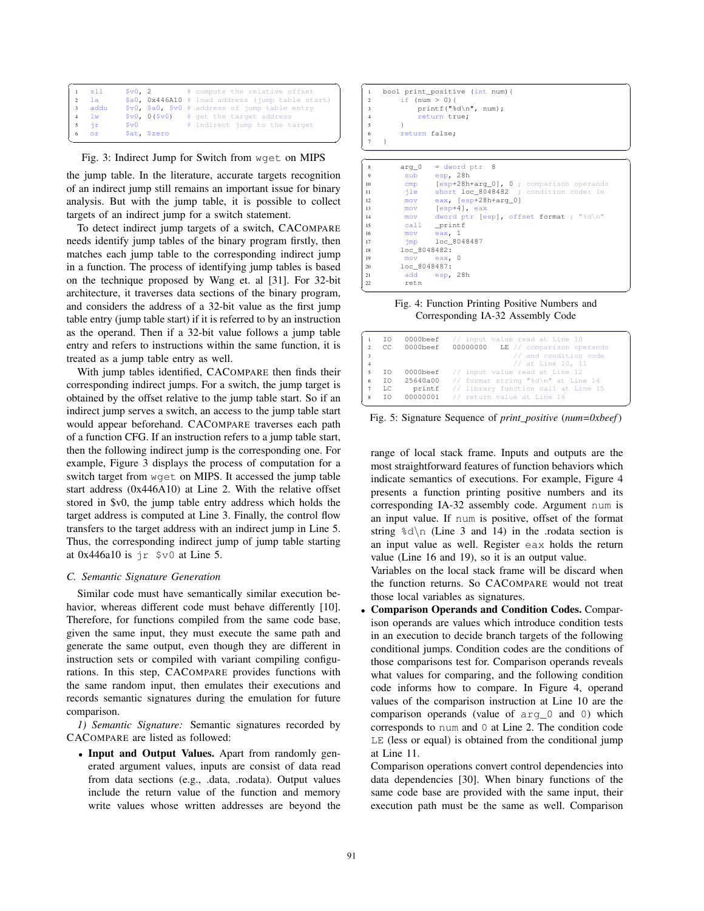|                | sll  |                  |            | $$v0.2$ # compute the relative offset             |
|----------------|------|------------------|------------|---------------------------------------------------|
| $\mathcal{L}$  | 1a   |                  |            | $$a0, 0x446A10 # load address (jump table start)$ |
| 3              | addu |                  |            | $$v0, $a0, $v0 \# address of jump table entry$    |
| $\overline{4}$ | 1 w  |                  |            | $$v0, 0 ($v0)$ # get the target address           |
|                | ήr   | S <sub>V</sub> 0 |            | # indirect jump to the target                     |
|                | or   |                  | Sat, Szero |                                                   |

Fig. 3: Indirect Jump for Switch from wget on MIPS

the jump table. In the literature, accurate targets recognition of an indirect jump still remains an important issue for binary analysis. But with the jump table, it is possible to collect targets of an indirect jump for a switch statement.

To detect indirect jump targets of a switch, CACOMPARE needs identify jump tables of the binary program firstly, then matches each jump table to the corresponding indirect jump in a function. The process of identifying jump tables is based on the technique proposed by Wang et. al [31]. For 32-bit architecture, it traverses data sections of the binary program, and considers the address of a 32-bit value as the first jump table entry (jump table start) if it is referred to by an instruction as the operand. Then if a 32-bit value follows a jump table entry and refers to instructions within the same function, it is treated as a jump table entry as well.

With jump tables identified, CACOMPARE then finds their corresponding indirect jumps. For a switch, the jump target is obtained by the offset relative to the jump table start. So if an indirect jump serves a switch, an access to the jump table start would appear beforehand. CACOMPARE traverses each path of a function CFG. If an instruction refers to a jump table start, then the following indirect jump is the corresponding one. For example, Figure 3 displays the process of computation for a switch target from wget on MIPS. It accessed the jump table start address (0x446A10) at Line 2. With the relative offset stored in \$v0, the jump table entry address which holds the target address is computed at Line 3. Finally, the control flow transfers to the target address with an indirect jump in Line 5. Thus, the corresponding indirect jump of jump table starting at 0x446a10 is jr \$v0 at Line 5.

# *C. Semantic Signature Generation*

Similar code must have semantically similar execution behavior, whereas different code must behave differently [10]. Therefore, for functions compiled from the same code base, given the same input, they must execute the same path and generate the same output, even though they are different in instruction sets or compiled with variant compiling configurations. In this step, CACOMPARE provides functions with the same random input, then emulates their executions and records semantic signatures during the emulation for future comparison.

*1) Semantic Signature:* Semantic signatures recorded by CACOMPARE are listed as followed:

• Input and Output Values. Apart from randomly generated argument values, inputs are consist of data read from data sections (e.g., .data, .rodata). Output values include the return value of the function and memory write values whose written addresses are beyond the

```
✞ ☎ 1 bool print_positive (int num){
2 if (\text{num} > 0) {<br>3 printf("\\
        printf("%d\n", num);
4 return true;
 5 }
6 return false;
7 } ✝ ✆ ✞ ☎
```

| 8            | arg 0        | $=$ dword ptr $8$                           |  |  |
|--------------|--------------|---------------------------------------------|--|--|
| $\mathbf{Q}$ | sub          | esp, 28h                                    |  |  |
| 10           |              | cmp [esp+28h+arq_0], 0; comparison operands |  |  |
| $_{11}$      | $i$ le $i$   | short loc 8048482 ; condition code: le      |  |  |
| 12           | mov          | eax, [esp+28h+arq 0]                        |  |  |
| 13           |              | mov [esp+4], eax                            |  |  |
| 14           | mov          | dword ptr [esp], offset format ; "%d\n"     |  |  |
| 15           |              | call printf                                 |  |  |
| 16           |              | mov eax, 1                                  |  |  |
| 17           |              | imp loc 8048487                             |  |  |
| 18           | loc 8048482: |                                             |  |  |
| 19           |              | mov eax, 0                                  |  |  |
| 20           | loc 8048487: |                                             |  |  |
| 21           |              | add esp, 28h                                |  |  |
| 22           | retn         |                                             |  |  |
|              |              |                                             |  |  |

Fig. 4: Function Printing Positive Numbers and Corresponding IA-32 Assembly Code

|              | IO  | 0000beef // input value read at Line 10          |
|--------------|-----|--------------------------------------------------|
|              |     | CC 0000beef 00000000 LE // comparison operands   |
| 3            |     | // and condition code                            |
| 4            |     | $//$ at Line 10, 11                              |
| 5            | IO  | 0000beef // input value read at Line 12          |
| 6            |     | $IO$ 25640a00 // format string "%d\n" at Line 14 |
| 7            | LC  | printf // library function call at Line 15       |
| $\mathbf{R}$ | T O | 00000001 // return value at Line 16              |

Fig. 5: Signature Sequence of *print\_positive* (*num=0xbeef*)

range of local stack frame. Inputs and outputs are the most straightforward features of function behaviors which indicate semantics of executions. For example, Figure 4 presents a function printing positive numbers and its corresponding IA-32 assembly code. Argument num is an input value. If num is positive, offset of the format string  $\alpha \in \Lambda$  (Line 3 and 14) in the rodata section is an input value as well. Register eax holds the return value (Line 16 and 19), so it is an output value.

Variables on the local stack frame will be discard when the function returns. So CACOMPARE would not treat those local variables as signatures.

• Comparison Operands and Condition Codes. Comparison operands are values which introduce condition tests in an execution to decide branch targets of the following conditional jumps. Condition codes are the conditions of those comparisons test for. Comparison operands reveals what values for comparing, and the following condition code informs how to compare. In Figure 4, operand values of the comparison instruction at Line 10 are the comparison operands (value of arg\_0 and 0) which corresponds to num and 0 at Line 2. The condition code LE (less or equal) is obtained from the conditional jump at Line 11.

Comparison operations convert control dependencies into data dependencies [30]. When binary functions of the same code base are provided with the same input, their execution path must be the same as well. Comparison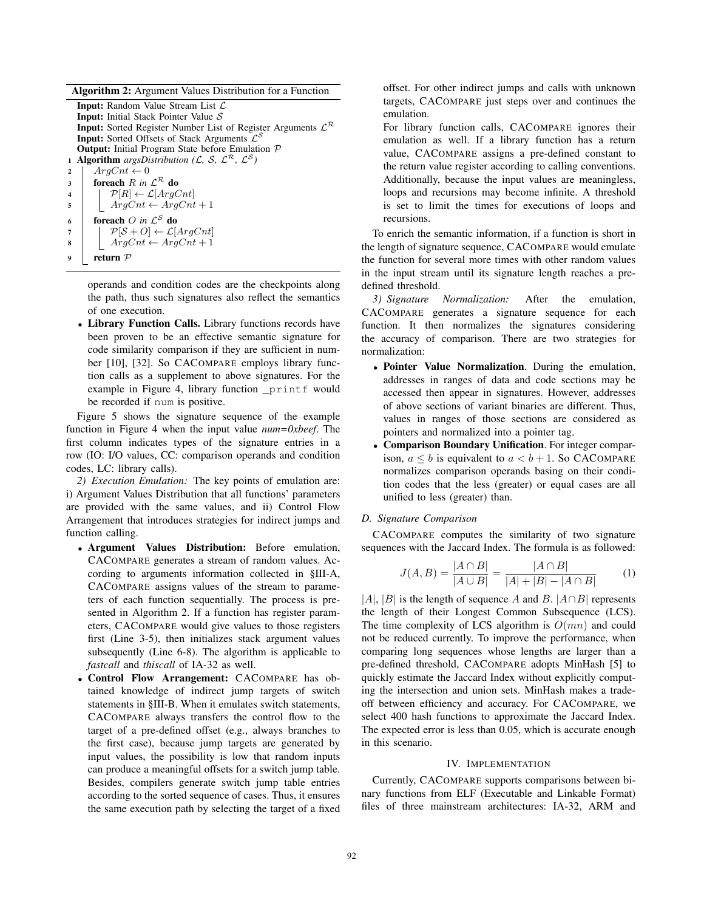Algorithm 2: Argument Values Distribution for a Function Input: Random Value Stream List L Input: Initial Stack Pointer Value S **Input:** Sorted Register Number List of Register Arguments  $\mathcal{L}^{\mathcal{R}}$ **Input:** Sorted Offsets of Stack Arguments  $\mathcal{L}^{\mathcal{S}}$ Output: Initial Program State before Emulation P 1 Algorithm *argsDistribution* (*L, S, L*<sup>R</sup>, *L*<sup>S</sup>) 2 |  $ArgCnt \leftarrow 0$  $3$  foreach R in  $\mathcal{L}^{\mathcal{R}}$  do 4 |  $\mathcal{P}[R] \leftarrow \mathcal{L}[ArgCnt]$  $5$   $ArgCnt \leftarrow ArgCnt + 1$ 6 foreach  $O$  in  $\mathcal{L}^S$  do 7  $|\mathcal{P}[\mathcal{S}+O] \leftarrow \mathcal{L}[ArgCnt]$  $\begin{array}{c|c} \hline \textbf{8} & \textbf{Arg} \end{array} \begin{array}{c} \textbf{Arg} \textbf{C}nt \leftarrow ArgCnt + 1 \end{array}$ <sup>9</sup> return P

operands and condition codes are the checkpoints along the path, thus such signatures also reflect the semantics of one execution.

• Library Function Calls. Library functions records have been proven to be an effective semantic signature for code similarity comparison if they are sufficient in number [10], [32]. So CACOMPARE employs library function calls as a supplement to above signatures. For the example in Figure 4, library function printf would be recorded if num is positive.

Figure 5 shows the signature sequence of the example function in Figure 4 when the input value *num=0xbeef*. The first column indicates types of the signature entries in a row (IO: I/O values, CC: comparison operands and condition codes, LC: library calls).

*2) Execution Emulation:* The key points of emulation are: i) Argument Values Distribution that all functions' parameters are provided with the same values, and ii) Control Flow Arrangement that introduces strategies for indirect jumps and function calling.

- Argument Values Distribution: Before emulation, CACOMPARE generates a stream of random values. According to arguments information collected in §III-A, CACOMPARE assigns values of the stream to parameters of each function sequentially. The process is presented in Algorithm 2. If a function has register parameters, CACOMPARE would give values to those registers first (Line 3-5), then initializes stack argument values subsequently (Line 6-8). The algorithm is applicable to *fastcall* and *thiscall* of IA-32 as well.
- Control Flow Arrangement: CACOMPARE has obtained knowledge of indirect jump targets of switch statements in §III-B. When it emulates switch statements, CACOMPARE always transfers the control flow to the target of a pre-defined offset (e.g., always branches to the first case), because jump targets are generated by input values, the possibility is low that random inputs can produce a meaningful offsets for a switch jump table. Besides, compilers generate switch jump table entries according to the sorted sequence of cases. Thus, it ensures the same execution path by selecting the target of a fixed

offset. For other indirect jumps and calls with unknown targets, CACOMPARE just steps over and continues the emulation.

For library function calls, CACOMPARE ignores their emulation as well. If a library function has a return value, CACOMPARE assigns a pre-defined constant to the return value register according to calling conventions. Additionally, because the input values are meaningless, loops and recursions may become infinite. A threshold is set to limit the times for executions of loops and recursions.

To enrich the semantic information, if a function is short in the length of signature sequence, CACOMPARE would emulate the function for several more times with other random values in the input stream until its signature length reaches a predefined threshold.

*3) Signature Normalization:* After the emulation, CACOMPARE generates a signature sequence for each function. It then normalizes the signatures considering the accuracy of comparison. There are two strategies for normalization:

- Pointer Value Normalization. During the emulation, addresses in ranges of data and code sections may be accessed then appear in signatures. However, addresses of above sections of variant binaries are different. Thus, values in ranges of those sections are considered as pointers and normalized into a pointer tag.
- Comparison Boundary Unification. For integer comparison,  $a \leq b$  is equivalent to  $a \leq b + 1$ . So CACOMPARE normalizes comparison operands basing on their condition codes that the less (greater) or equal cases are all unified to less (greater) than.

#### *D. Signature Comparison*

CACOMPARE computes the similarity of two signature sequences with the Jaccard Index. The formula is as followed:

$$
J(A, B) = \frac{|A \cap B|}{|A \cup B|} = \frac{|A \cap B|}{|A| + |B| - |A \cap B|}
$$
 (1)

|A|, |B| is the length of sequence A and B.  $|A \cap B|$  represents the length of their Longest Common Subsequence (LCS). The time complexity of LCS algorithm is  $O(mn)$  and could not be reduced currently. To improve the performance, when comparing long sequences whose lengths are larger than a pre-defined threshold, CACOMPARE adopts MinHash [5] to quickly estimate the Jaccard Index without explicitly computing the intersection and union sets. MinHash makes a tradeoff between efficiency and accuracy. For CACOMPARE, we select 400 hash functions to approximate the Jaccard Index. The expected error is less than 0.05, which is accurate enough in this scenario.

## IV. IMPLEMENTATION

Currently, CACOMPARE supports comparisons between binary functions from ELF (Executable and Linkable Format) files of three mainstream architectures: IA-32, ARM and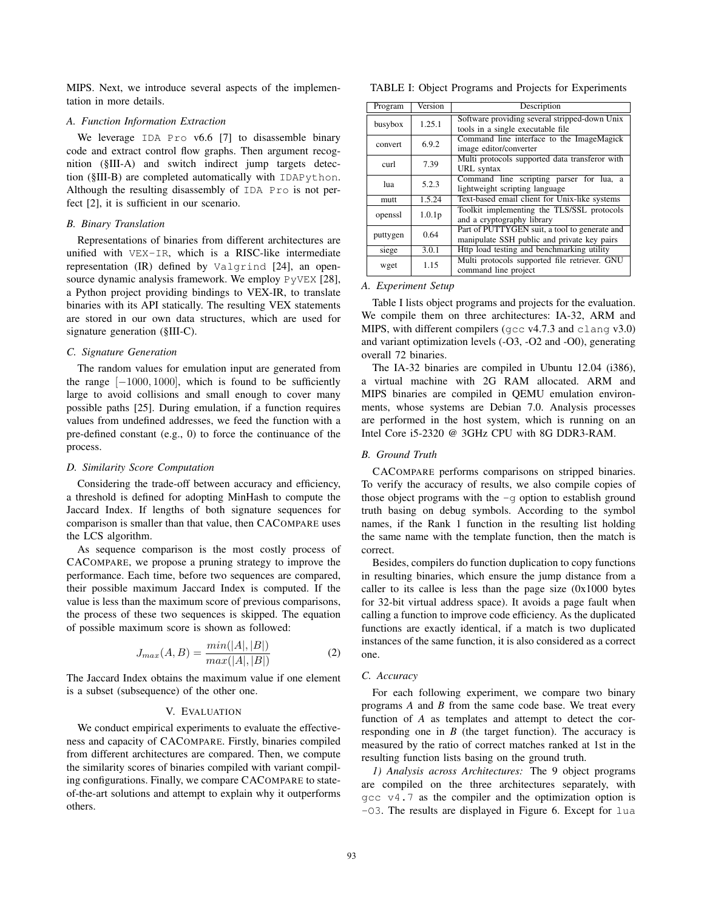MIPS. Next, we introduce several aspects of the implementation in more details.

# *A. Function Information Extraction*

We leverage IDA Pro v6.6 [7] to disassemble binary code and extract control flow graphs. Then argument recognition (§III-A) and switch indirect jump targets detection (§III-B) are completed automatically with IDAPython. Although the resulting disassembly of IDA Pro is not perfect [2], it is sufficient in our scenario.

#### *B. Binary Translation*

Representations of binaries from different architectures are unified with VEX-IR, which is a RISC-like intermediate representation (IR) defined by Valgrind [24], an opensource dynamic analysis framework. We employ PyVEX [28], a Python project providing bindings to VEX-IR, to translate binaries with its API statically. The resulting VEX statements are stored in our own data structures, which are used for signature generation (§III-C).

#### *C. Signature Generation*

The random values for emulation input are generated from the range  $[-1000, 1000]$ , which is found to be sufficiently large to avoid collisions and small enough to cover many possible paths [25]. During emulation, if a function requires values from undefined addresses, we feed the function with a pre-defined constant (e.g., 0) to force the continuance of the process.

## *D. Similarity Score Computation*

Considering the trade-off between accuracy and efficiency, a threshold is defined for adopting MinHash to compute the Jaccard Index. If lengths of both signature sequences for comparison is smaller than that value, then CACOMPARE uses the LCS algorithm.

As sequence comparison is the most costly process of CACOMPARE, we propose a pruning strategy to improve the performance. Each time, before two sequences are compared, their possible maximum Jaccard Index is computed. If the value is less than the maximum score of previous comparisons, the process of these two sequences is skipped. The equation of possible maximum score is shown as followed:

$$
J_{max}(A, B) = \frac{\min(|A|, |B|)}{\max(|A|, |B|)}\tag{2}
$$

The Jaccard Index obtains the maximum value if one element is a subset (subsequence) of the other one.

# V. EVALUATION

We conduct empirical experiments to evaluate the effectiveness and capacity of CACOMPARE. Firstly, binaries compiled from different architectures are compared. Then, we compute the similarity scores of binaries compiled with variant compiling configurations. Finally, we compare CACOMPARE to stateof-the-art solutions and attempt to explain why it outperforms others.

TABLE I: Object Programs and Projects for Experiments

| Program  | Version            | Description                                                                                  |
|----------|--------------------|----------------------------------------------------------------------------------------------|
| busybox  | 1.25.1             | Software providing several stripped-down Unix<br>tools in a single executable file           |
| convert  | 6.9.2              | Command line interface to the ImageMagick<br>image editor/converter                          |
| curl     | 7.39               | Multi protocols supported data transferor with<br>URL syntax                                 |
| lua      | 5.2.3              | Command line scripting parser for lua, a<br>lightweight scripting language                   |
| mutt     | 1.5.24             | Text-based email client for Unix-like systems                                                |
| openssl  | 1.0.1 <sub>p</sub> | Toolkit implementing the TLS/SSL protocols<br>and a cryptography library                     |
| puttygen | 0.64               | Part of PUTTYGEN suit, a tool to generate and<br>manipulate SSH public and private key pairs |
| siege    | 3.0.1              | Http load testing and benchmarking utility                                                   |
| wget     | 1.15               | Multi protocols supported file retriever. GNU<br>command line project                        |

# *A. Experiment Setup*

Table I lists object programs and projects for the evaluation. We compile them on three architectures: IA-32, ARM and MIPS, with different compilers ( $qcc v4.7.3$  and clang v3.0) and variant optimization levels (-O3, -O2 and -O0), generating overall 72 binaries.

The IA-32 binaries are compiled in Ubuntu 12.04 (i386), a virtual machine with 2G RAM allocated. ARM and MIPS binaries are compiled in QEMU emulation environments, whose systems are Debian 7.0. Analysis processes are performed in the host system, which is running on an Intel Core i5-2320 @ 3GHz CPU with 8G DDR3-RAM.

# *B. Ground Truth*

CACOMPARE performs comparisons on stripped binaries. To verify the accuracy of results, we also compile copies of those object programs with the  $-q$  option to establish ground truth basing on debug symbols. According to the symbol names, if the Rank 1 function in the resulting list holding the same name with the template function, then the match is correct.

Besides, compilers do function duplication to copy functions in resulting binaries, which ensure the jump distance from a caller to its callee is less than the page size (0x1000 bytes for 32-bit virtual address space). It avoids a page fault when calling a function to improve code efficiency. As the duplicated functions are exactly identical, if a match is two duplicated instances of the same function, it is also considered as a correct one.

# *C. Accuracy*

For each following experiment, we compare two binary programs *A* and *B* from the same code base. We treat every function of *A* as templates and attempt to detect the corresponding one in  $B$  (the target function). The accuracy is measured by the ratio of correct matches ranked at 1st in the resulting function lists basing on the ground truth.

*1) Analysis across Architectures:* The 9 object programs are compiled on the three architectures separately, with gcc v4.7 as the compiler and the optimization option is -O3. The results are displayed in Figure 6. Except for lua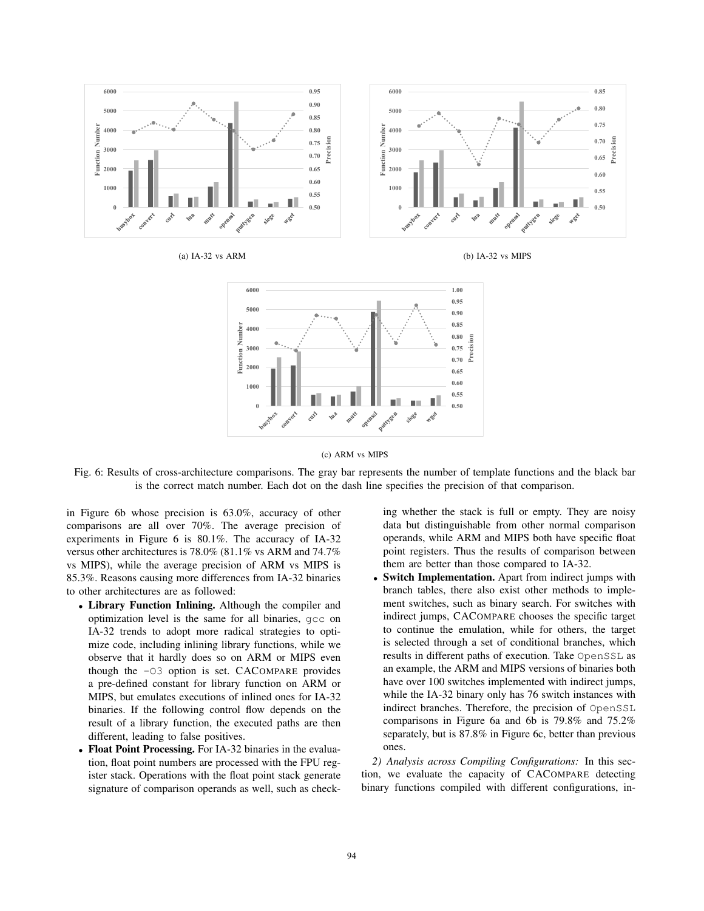

(a) IA-32 vs ARM







Fig. 6: Results of cross-architecture comparisons. The gray bar represents the number of template functions and the black bar is the correct match number. Each dot on the dash line specifies the precision of that comparison.

in Figure 6b whose precision is 63.0%, accuracy of other comparisons are all over 70%. The average precision of experiments in Figure 6 is 80.1%. The accuracy of IA-32 versus other architectures is 78.0% (81.1% vs ARM and 74.7% vs MIPS), while the average precision of ARM vs MIPS is 85.3%. Reasons causing more differences from IA-32 binaries to other architectures are as followed:

- Library Function Inlining. Although the compiler and optimization level is the same for all binaries, gcc on IA-32 trends to adopt more radical strategies to optimize code, including inlining library functions, while we observe that it hardly does so on ARM or MIPS even though the  $-03$  option is set. CACOMPARE provides a pre-defined constant for library function on ARM or MIPS, but emulates executions of inlined ones for IA-32 binaries. If the following control flow depends on the result of a library function, the executed paths are then different, leading to false positives.
- Float Point Processing. For IA-32 binaries in the evaluation, float point numbers are processed with the FPU register stack. Operations with the float point stack generate signature of comparison operands as well, such as check-

ing whether the stack is full or empty. They are noisy data but distinguishable from other normal comparison operands, while ARM and MIPS both have specific float point registers. Thus the results of comparison between them are better than those compared to IA-32.

• Switch Implementation. Apart from indirect jumps with branch tables, there also exist other methods to implement switches, such as binary search. For switches with indirect jumps, CACOMPARE chooses the specific target to continue the emulation, while for others, the target is selected through a set of conditional branches, which results in different paths of execution. Take OpenSSL as an example, the ARM and MIPS versions of binaries both have over 100 switches implemented with indirect jumps, while the IA-32 binary only has 76 switch instances with indirect branches. Therefore, the precision of OpenSSL comparisons in Figure 6a and 6b is 79.8% and 75.2% separately, but is 87.8% in Figure 6c, better than previous ones.

*2) Analysis across Compiling Configurations:* In this section, we evaluate the capacity of CACOMPARE detecting binary functions compiled with different configurations, in-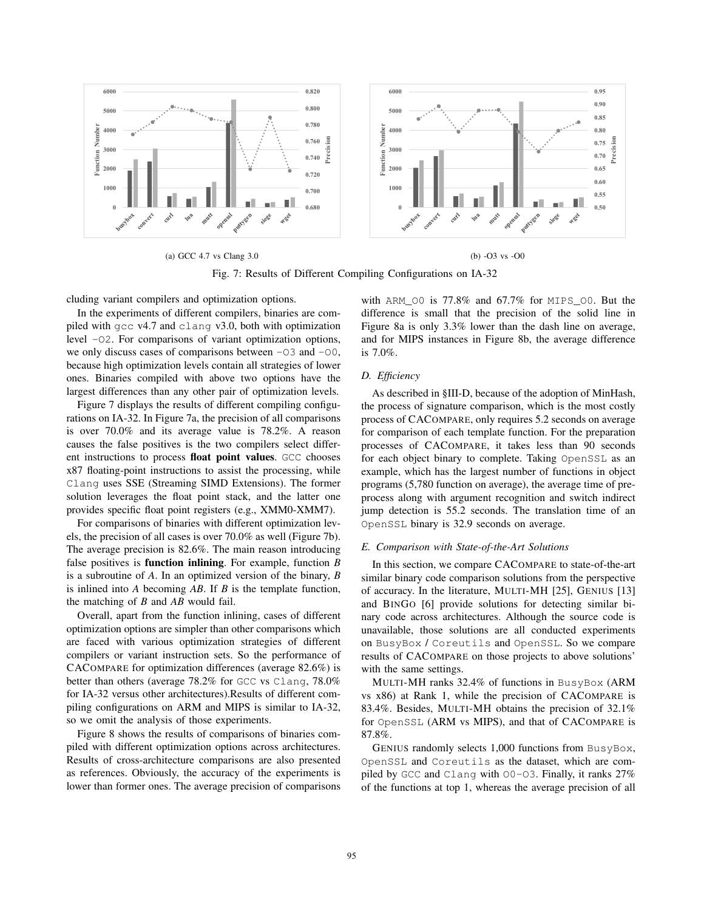

(a) GCC 4.7 vs Clang 3.0

(b) -O3 vs -O0

Fig. 7: Results of Different Compiling Configurations on IA-32

cluding variant compilers and optimization options.

In the experiments of different compilers, binaries are compiled with gcc v4.7 and clang v3.0, both with optimization level -O2. For comparisons of variant optimization options, we only discuss cases of comparisons between  $-03$  and  $-00$ , because high optimization levels contain all strategies of lower ones. Binaries compiled with above two options have the largest differences than any other pair of optimization levels.

Figure 7 displays the results of different compiling configurations on IA-32. In Figure 7a, the precision of all comparisons is over 70.0% and its average value is 78.2%. A reason causes the false positives is the two compilers select different instructions to process float point values. GCC chooses x87 floating-point instructions to assist the processing, while Clang uses SSE (Streaming SIMD Extensions). The former solution leverages the float point stack, and the latter one provides specific float point registers (e.g., XMM0-XMM7).

For comparisons of binaries with different optimization levels, the precision of all cases is over 70.0% as well (Figure 7b). The average precision is 82.6%. The main reason introducing false positives is function inlining. For example, function *B* is a subroutine of *A*. In an optimized version of the binary, *B* is inlined into *A* becoming *AB*. If *B* is the template function, the matching of *B* and *AB* would fail.

Overall, apart from the function inlining, cases of different optimization options are simpler than other comparisons which are faced with various optimization strategies of different compilers or variant instruction sets. So the performance of CACOMPARE for optimization differences (average 82.6%) is better than others (average 78.2% for GCC vs Clang, 78.0% for IA-32 versus other architectures).Results of different compiling configurations on ARM and MIPS is similar to IA-32, so we omit the analysis of those experiments.

Figure 8 shows the results of comparisons of binaries compiled with different optimization options across architectures. Results of cross-architecture comparisons are also presented as references. Obviously, the accuracy of the experiments is lower than former ones. The average precision of comparisons

with ARM\_00 is  $77.8\%$  and  $67.7\%$  for MIPS\_00. But the difference is small that the precision of the solid line in Figure 8a is only 3.3% lower than the dash line on average, and for MIPS instances in Figure 8b, the average difference is 7.0%.

#### *D. Efficiency*

As described in §III-D, because of the adoption of MinHash, the process of signature comparison, which is the most costly process of CACOMPARE, only requires 5.2 seconds on average for comparison of each template function. For the preparation processes of CACOMPARE, it takes less than 90 seconds for each object binary to complete. Taking OpenSSL as an example, which has the largest number of functions in object programs (5,780 function on average), the average time of preprocess along with argument recognition and switch indirect jump detection is 55.2 seconds. The translation time of an OpenSSL binary is 32.9 seconds on average.

#### *E. Comparison with State-of-the-Art Solutions*

In this section, we compare CACOMPARE to state-of-the-art similar binary code comparison solutions from the perspective of accuracy. In the literature, MULTI-MH [25], GENIUS [13] and BINGO [6] provide solutions for detecting similar binary code across architectures. Although the source code is unavailable, those solutions are all conducted experiments on BusyBox / Coreutils and OpenSSL. So we compare results of CACOMPARE on those projects to above solutions' with the same settings.

MULTI-MH ranks 32.4% of functions in BusyBox (ARM vs x86) at Rank 1, while the precision of CACOMPARE is 83.4%. Besides, MULTI-MH obtains the precision of 32.1% for OpenSSL (ARM vs MIPS), and that of CACOMPARE is 87.8%.

GENIUS randomly selects 1,000 functions from BusyBox, OpenSSL and Coreutils as the dataset, which are compiled by GCC and Clang with O0-O3. Finally, it ranks 27% of the functions at top 1, whereas the average precision of all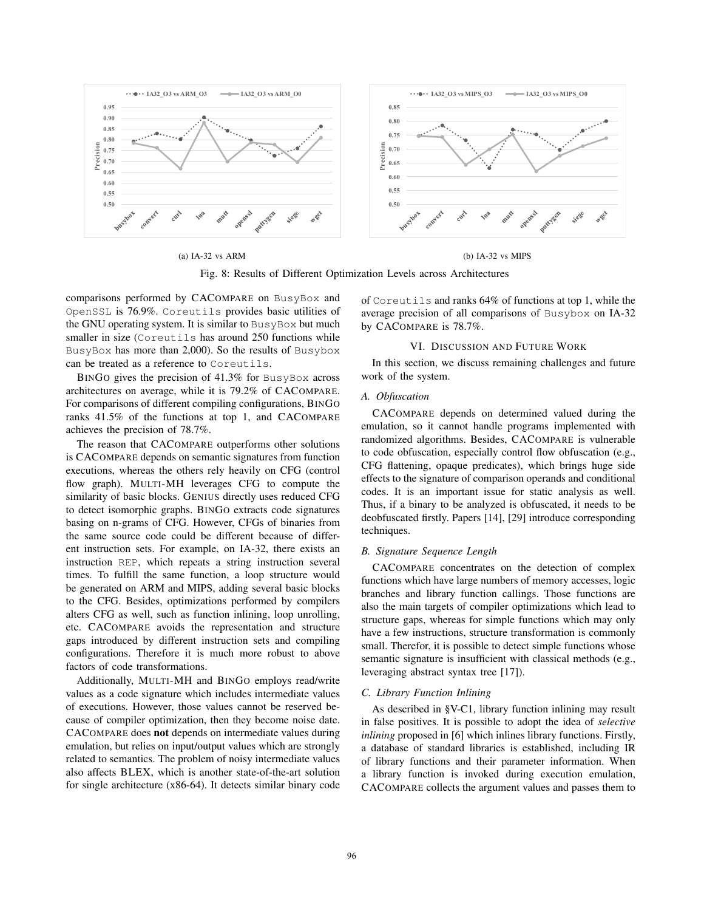

(a) IA-32 vs ARM

(b) IA-32 vs MIPS

Fig. 8: Results of Different Optimization Levels across Architectures

comparisons performed by CACOMPARE on BusyBox and OpenSSL is 76.9%. Coreutils provides basic utilities of the GNU operating system. It is similar to BusyBox but much smaller in size (Coreutils has around 250 functions while BusyBox has more than 2,000). So the results of Busybox can be treated as a reference to Coreutils.

BINGO gives the precision of 41.3% for BusyBox across architectures on average, while it is 79.2% of CACOMPARE. For comparisons of different compiling configurations, BINGO ranks 41.5% of the functions at top 1, and CACOMPARE achieves the precision of 78.7%.

The reason that CACOMPARE outperforms other solutions is CACOMPARE depends on semantic signatures from function executions, whereas the others rely heavily on CFG (control flow graph). MULTI-MH leverages CFG to compute the similarity of basic blocks. GENIUS directly uses reduced CFG to detect isomorphic graphs. BINGO extracts code signatures basing on n-grams of CFG. However, CFGs of binaries from the same source code could be different because of different instruction sets. For example, on IA-32, there exists an instruction REP, which repeats a string instruction several times. To fulfill the same function, a loop structure would be generated on ARM and MIPS, adding several basic blocks to the CFG. Besides, optimizations performed by compilers alters CFG as well, such as function inlining, loop unrolling, etc. CACOMPARE avoids the representation and structure gaps introduced by different instruction sets and compiling configurations. Therefore it is much more robust to above factors of code transformations.

Additionally, MULTI-MH and BINGO employs read/write values as a code signature which includes intermediate values of executions. However, those values cannot be reserved because of compiler optimization, then they become noise date. CACOMPARE does not depends on intermediate values during emulation, but relies on input/output values which are strongly related to semantics. The problem of noisy intermediate values also affects BLEX, which is another state-of-the-art solution for single architecture (x86-64). It detects similar binary code of Coreutils and ranks 64% of functions at top 1, while the average precision of all comparisons of Busybox on IA-32 by CACOMPARE is 78.7%.

# VI. DISCUSSION AND FUTURE WORK

In this section, we discuss remaining challenges and future work of the system.

# *A. Obfuscation*

CACOMPARE depends on determined valued during the emulation, so it cannot handle programs implemented with randomized algorithms. Besides, CACOMPARE is vulnerable to code obfuscation, especially control flow obfuscation (e.g., CFG flattening, opaque predicates), which brings huge side effects to the signature of comparison operands and conditional codes. It is an important issue for static analysis as well. Thus, if a binary to be analyzed is obfuscated, it needs to be deobfuscated firstly. Papers [14], [29] introduce corresponding techniques.

# *B. Signature Sequence Length*

CACOMPARE concentrates on the detection of complex functions which have large numbers of memory accesses, logic branches and library function callings. Those functions are also the main targets of compiler optimizations which lead to structure gaps, whereas for simple functions which may only have a few instructions, structure transformation is commonly small. Therefor, it is possible to detect simple functions whose semantic signature is insufficient with classical methods (e.g., leveraging abstract syntax tree [17]).

#### *C. Library Function Inlining*

As described in §V-C1, library function inlining may result in false positives. It is possible to adopt the idea of *selective inlining* proposed in [6] which inlines library functions. Firstly, a database of standard libraries is established, including IR of library functions and their parameter information. When a library function is invoked during execution emulation, CACOMPARE collects the argument values and passes them to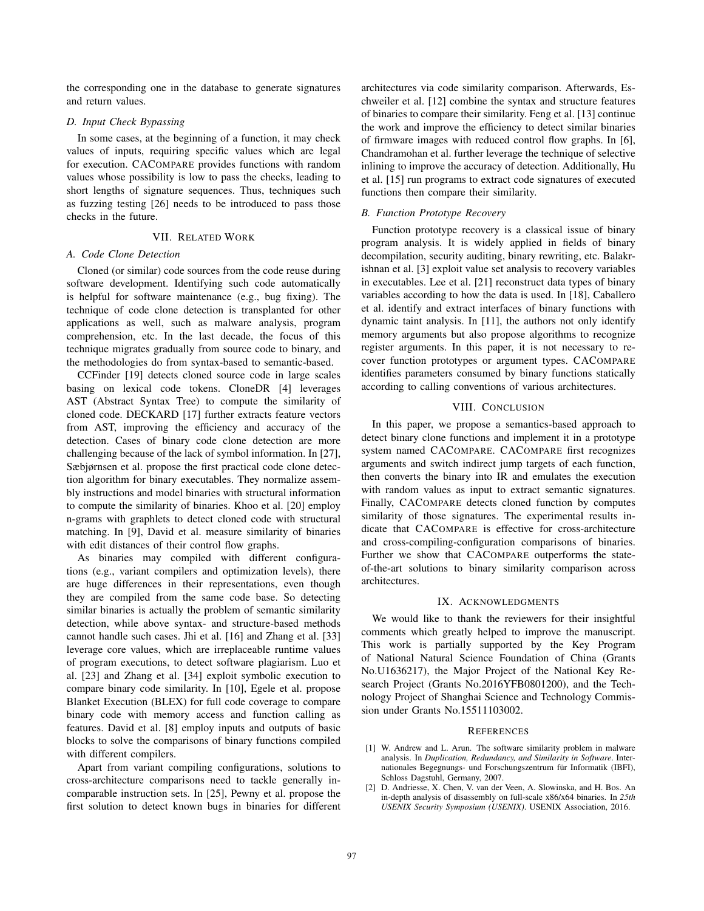the corresponding one in the database to generate signatures and return values.

# *D. Input Check Bypassing*

In some cases, at the beginning of a function, it may check values of inputs, requiring specific values which are legal for execution. CACOMPARE provides functions with random values whose possibility is low to pass the checks, leading to short lengths of signature sequences. Thus, techniques such as fuzzing testing [26] needs to be introduced to pass those checks in the future.

## VII. RELATED WORK

# *A. Code Clone Detection*

Cloned (or similar) code sources from the code reuse during software development. Identifying such code automatically is helpful for software maintenance (e.g., bug fixing). The technique of code clone detection is transplanted for other applications as well, such as malware analysis, program comprehension, etc. In the last decade, the focus of this technique migrates gradually from source code to binary, and the methodologies do from syntax-based to semantic-based.

CCFinder [19] detects cloned source code in large scales basing on lexical code tokens. CloneDR [4] leverages AST (Abstract Syntax Tree) to compute the similarity of cloned code. DECKARD [17] further extracts feature vectors from AST, improving the efficiency and accuracy of the detection. Cases of binary code clone detection are more challenging because of the lack of symbol information. In [27], Sæbjørnsen et al. propose the first practical code clone detection algorithm for binary executables. They normalize assembly instructions and model binaries with structural information to compute the similarity of binaries. Khoo et al. [20] employ n-grams with graphlets to detect cloned code with structural matching. In [9], David et al. measure similarity of binaries with edit distances of their control flow graphs.

As binaries may compiled with different configurations (e.g., variant compilers and optimization levels), there are huge differences in their representations, even though they are compiled from the same code base. So detecting similar binaries is actually the problem of semantic similarity detection, while above syntax- and structure-based methods cannot handle such cases. Jhi et al. [16] and Zhang et al. [33] leverage core values, which are irreplaceable runtime values of program executions, to detect software plagiarism. Luo et al. [23] and Zhang et al. [34] exploit symbolic execution to compare binary code similarity. In [10], Egele et al. propose Blanket Execution (BLEX) for full code coverage to compare binary code with memory access and function calling as features. David et al. [8] employ inputs and outputs of basic blocks to solve the comparisons of binary functions compiled with different compilers.

Apart from variant compiling configurations, solutions to cross-architecture comparisons need to tackle generally incomparable instruction sets. In [25], Pewny et al. propose the first solution to detect known bugs in binaries for different architectures via code similarity comparison. Afterwards, Eschweiler et al. [12] combine the syntax and structure features of binaries to compare their similarity. Feng et al. [13] continue the work and improve the efficiency to detect similar binaries of firmware images with reduced control flow graphs. In [6], Chandramohan et al. further leverage the technique of selective inlining to improve the accuracy of detection. Additionally, Hu et al. [15] run programs to extract code signatures of executed functions then compare their similarity.

## *B. Function Prototype Recovery*

Function prototype recovery is a classical issue of binary program analysis. It is widely applied in fields of binary decompilation, security auditing, binary rewriting, etc. Balakrishnan et al. [3] exploit value set analysis to recovery variables in executables. Lee et al. [21] reconstruct data types of binary variables according to how the data is used. In [18], Caballero et al. identify and extract interfaces of binary functions with dynamic taint analysis. In [11], the authors not only identify memory arguments but also propose algorithms to recognize register arguments. In this paper, it is not necessary to recover function prototypes or argument types. CACOMPARE identifies parameters consumed by binary functions statically according to calling conventions of various architectures.

#### VIII. CONCLUSION

In this paper, we propose a semantics-based approach to detect binary clone functions and implement it in a prototype system named CACOMPARE. CACOMPARE first recognizes arguments and switch indirect jump targets of each function, then converts the binary into IR and emulates the execution with random values as input to extract semantic signatures. Finally, CACOMPARE detects cloned function by computes similarity of those signatures. The experimental results indicate that CACOMPARE is effective for cross-architecture and cross-compiling-configuration comparisons of binaries. Further we show that CACOMPARE outperforms the stateof-the-art solutions to binary similarity comparison across architectures.

# IX. ACKNOWLEDGMENTS

We would like to thank the reviewers for their insightful comments which greatly helped to improve the manuscript. This work is partially supported by the Key Program of National Natural Science Foundation of China (Grants No.U1636217), the Major Project of the National Key Research Project (Grants No.2016YFB0801200), and the Technology Project of Shanghai Science and Technology Commission under Grants No.15511103002.

#### **REFERENCES**

- [1] W. Andrew and L. Arun. The software similarity problem in malware analysis. In *Duplication, Redundancy, and Similarity in Software*. Internationales Begegnungs- und Forschungszentrum für Informatik (IBFI), Schloss Dagstuhl, Germany, 2007.
- [2] D. Andriesse, X. Chen, V. van der Veen, A. Slowinska, and H. Bos. An in-depth analysis of disassembly on full-scale x86/x64 binaries. In *25th USENIX Security Symposium (USENIX)*. USENIX Association, 2016.